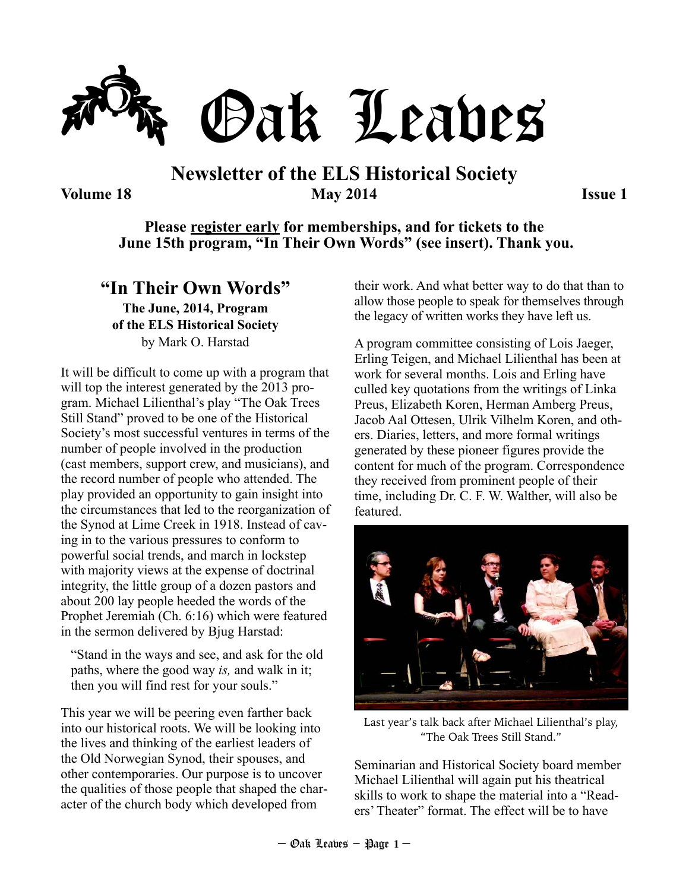

### **Newsletter of the ELS Historical Society Volume 18 May 2014 Issue 1**

#### **Please register early for memberships, and for tickets to the June 15th program, "In Their Own Words" (see insert). Thank you.**

### **"In Their Own Words"**

**The June, 2014, Program of the ELS Historical Society**  by Mark O. Harstad

It will be difficult to come up with a program that will top the interest generated by the 2013 program. Michael Lilienthal's play "The Oak Trees Still Stand" proved to be one of the Historical Society's most successful ventures in terms of the number of people involved in the production (cast members, support crew, and musicians), and the record number of people who attended. The play provided an opportunity to gain insight into the circumstances that led to the reorganization of the Synod at Lime Creek in 1918. Instead of caving in to the various pressures to conform to powerful social trends, and march in lockstep with majority views at the expense of doctrinal integrity, the little group of a dozen pastors and about 200 lay people heeded the words of the Prophet Jeremiah (Ch. 6:16) which were featured in the sermon delivered by Bjug Harstad:

"Stand in the ways and see, and ask for the old paths, where the good way *is,* and walk in it; then you will find rest for your souls."

This year we will be peering even farther back into our historical roots. We will be looking into the lives and thinking of the earliest leaders of the Old Norwegian Synod, their spouses, and other contemporaries. Our purpose is to uncover the qualities of those people that shaped the character of the church body which developed from

their work. And what better way to do that than to allow those people to speak for themselves through the legacy of written works they have left us.

A program committee consisting of Lois Jaeger, Erling Teigen, and Michael Lilienthal has been at work for several months. Lois and Erling have culled key quotations from the writings of Linka Preus, Elizabeth Koren, Herman Amberg Preus, Jacob Aal Ottesen, Ulrik Vilhelm Koren, and others. Diaries, letters, and more formal writings generated by these pioneer figures provide the content for much of the program. Correspondence they received from prominent people of their time, including Dr. C. F. W. Walther, will also be featured.



Last year's talk back after Michael Lilienthal's play, "The Oak Trees Still Stand."

Seminarian and Historical Society board member Michael Lilienthal will again put his theatrical skills to work to shape the material into a "Readers' Theater" format. The effect will be to have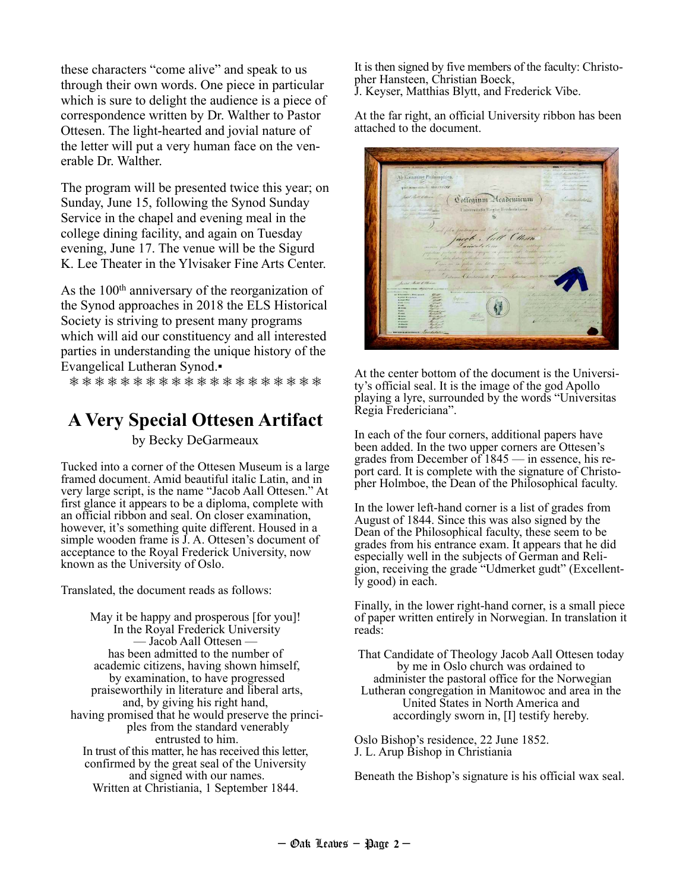these characters "come alive" and speak to us through their own words. One piece in particular which is sure to delight the audience is a piece of correspondence written by Dr. Walther to Pastor Ottesen. The light-hearted and jovial nature of the letter will put a very human face on the venerable Dr. Walther.

The program will be presented twice this year; on Sunday, June 15, following the Synod Sunday Service in the chapel and evening meal in the college dining facility, and again on Tuesday evening, June 17. The venue will be the Sigurd K. Lee Theater in the Ylvisaker Fine Arts Center.

As the 100<sup>th</sup> anniversary of the reorganization of the Synod approaches in 2018 the ELS Historical Society is striving to present many programs which will aid our constituency and all interested parties in understanding the unique history of the Evangelical Lutheran Synod.▪

❅ ❅ ❅ ❅ ❅ ❅ ❅ ❅ ❅ ❅ ❅ ❅ ❅ ❅ ❅ ❅ ❅ ❅ ❅ ❅

### **A Very Special Ottesen Artifact**

by Becky DeGarmeaux

Tucked into a corner of the Ottesen Museum is a large framed document. Amid beautiful italic Latin, and in very large script, is the name "Jacob Aall Ottesen." At first glance it appears to be a diploma, complete with an official ribbon and seal. On closer examination, however, it's something quite different. Housed in a simple wooden frame is  $\hat{J}$ . A. Ottesen's document of acceptance to the Royal Frederick University, now known as the University of Oslo.

Translated, the document reads as follows:

May it be happy and prosperous [for you]! In the Royal Frederick University — Jacob Aall Ottesen has been admitted to the number of academic citizens, having shown himself, by examination, to have progressed praiseworthily in literature and liberal arts, and, by giving his right hand, having promised that he would preserve the principles from the standard venerably entrusted to him. In trust of this matter, he has received this letter, confirmed by the great seal of the University and signed with our names. Written at Christiania, 1 September 1844.

It is then signed by five members of the faculty: Christopher Hansteen, Christian Boeck, J. Keyser, Matthias Blytt, and Frederick Vibe.

At the far right, an official University ribbon has been attached to the document.

Coffegium Meademicum Universitatis Regise Fred latt Clean 侵

At the center bottom of the document is the University's official seal. It is the image of the god Apollo playing a lyre, surrounded by the words "Universitas Regia Fredericiana".

In each of the four corners, additional papers have been added. In the two upper corners are Ottesen's grades from December of 1845 — in essence, his report card. It is complete with the signature of Christopher Holmboe, the Dean of the Philosophical faculty.

In the lower left-hand corner is a list of grades from August of 1844. Since this was also signed by the Dean of the Philosophical faculty, these seem to be grades from his entrance exam. It appears that he did especially well in the subjects of German and Religion, receiving the grade "Udmerket gudt" (Excellently good) in each.

Finally, in the lower right-hand corner, is a small piece of paper written entirely in Norwegian. In translation it reads:

That Candidate of Theology Jacob Aall Ottesen today by me in Oslo church was ordained to administer the pastoral office for the Norwegian Lutheran congregation in Manitowoc and area in the United States in North America and accordingly sworn in, [I] testify hereby.

Oslo Bishop's residence, 22 June 1852. J. L. Arup Bishop in Christiania

Beneath the Bishop's signature is his official wax seal.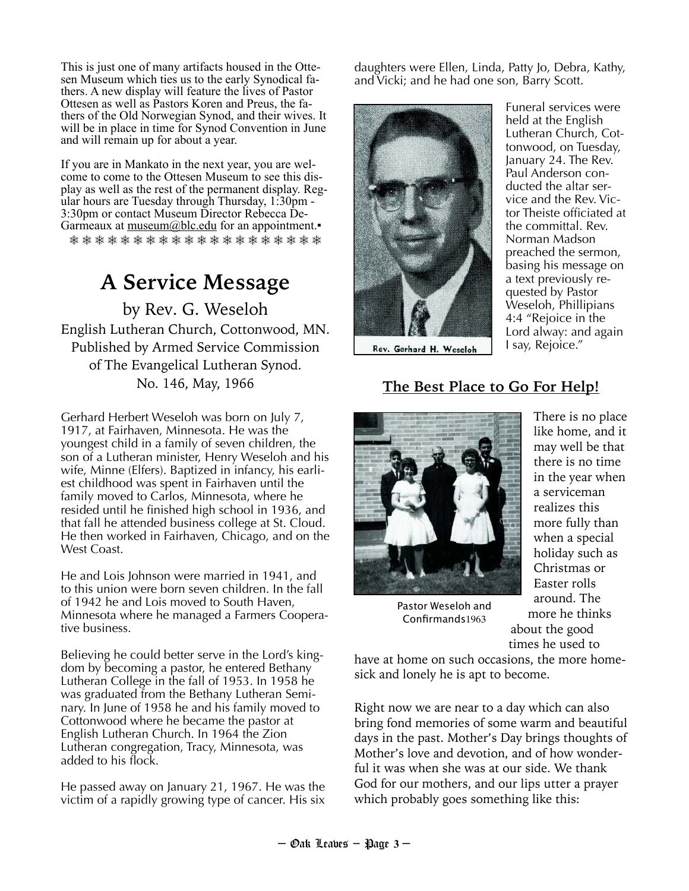This is just one of many artifacts housed in the Ottesen Museum which ties us to the early Synodical fathers. A new display will feature the lives of Pastor Ottesen as well as Pastors Koren and Preus, the fathers of the Old Norwegian Synod, and their wives. It will be in place in time for Synod Convention in June and will remain up for about a year.

If you are in Mankato in the next year, you are welcome to come to the Ottesen Museum to see this display as well as the rest of the permanent display. Regular hours are Tuesday through Thursday, 1:30pm - 3:30pm or contact Museum Director Rebecca De-Garmeaux at  $m \equiv a \pm b \pmod{a}$  for an appointment. ❅ ❅ ❅ ❅ ❅ ❅ ❅ ❅ ❅ ❅ ❅ ❅ ❅ ❅ ❅ ❅ ❅ ❅ ❅ ❅

# **A Service Message**  by Rev. G. Weseloh

English Lutheran Church, Cottonwood, MN. Published by Armed Service Commission of The Evangelical Lutheran Synod. No. 146, May, 1966

Gerhard Herbert Weseloh was born on July 7, 1917, at Fairhaven, Minnesota. He was the youngest child in a family of seven children, the son of a Lutheran minister, Henry Weseloh and his wife, Minne (Elfers). Baptized in infancy, his earliest childhood was spent in Fairhaven until the family moved to Carlos, Minnesota, where he resided until he finished high school in 1936, and that fall he attended business college at St. Cloud. He then worked in Fairhaven, Chicago, and on the West Coast.

He and Lois Johnson were married in 1941, and to this union were born seven children. In the fall of 1942 he and Lois moved to South Haven, Minnesota where he managed a Farmers Cooperative business.

Believing he could better serve in the Lord's kingdom by becoming a pastor, he entered Bethany Lutheran College in the fall of 1953. In 1958 he was graduated from the Bethany Lutheran Seminary. In June of 1958 he and his family moved to Cottonwood where he became the pastor at English Lutheran Church. In 1964 the Zion Lutheran congregation, Tracy, Minnesota, was added to his flock.

He passed away on January 21, 1967. He was the victim of a rapidly growing type of cancer. His six

daughters were Ellen, Linda, Patty Jo, Debra, Kathy, and Vicki; and he had one son, Barry Scott.



Rev. Gerhard H. Weseloh

Funeral services were held at the English Lutheran Church, Cottonwood, on Tuesday, January 24. The Rev. Paul Anderson conducted the altar service and the Rev. Victor Theiste officiated at the committal. Rev. Norman Madson preached the sermon, basing his message on a text previously requested by Pastor Weseloh, Phillipians 4:4 "Rejoice in the Lord alway: and again I say, Rejoice."

### **The Best Place to Go For Help!**



Pastor Weseloh and Confirmands1963

There is no place like home, and it may well be that there is no time in the year when a serviceman realizes this more fully than when a special holiday such as Christmas or Easter rolls around. The more he thinks about the good times he used to

have at home on such occasions, the more homesick and lonely he is apt to become.

Right now we are near to a day which can also bring fond memories of some warm and beautiful days in the past. Mother's Day brings thoughts of Mother's love and devotion, and of how wonderful it was when she was at our side. We thank God for our mothers, and our lips utter a prayer which probably goes something like this: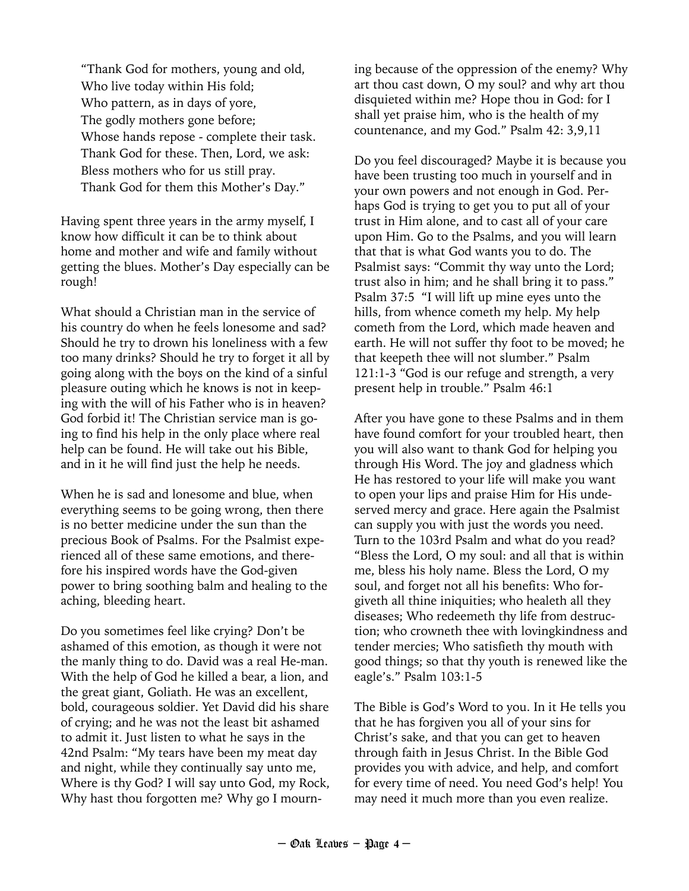"Thank God for mothers, young and old, Who live today within His fold; Who pattern, as in days of yore, The godly mothers gone before; Whose hands repose - complete their task. Thank God for these. Then, Lord, we ask: Bless mothers who for us still pray. Thank God for them this Mother's Day."

Having spent three years in the army myself, I know how difficult it can be to think about home and mother and wife and family without getting the blues. Mother's Day especially can be rough!

What should a Christian man in the service of his country do when he feels lonesome and sad? Should he try to drown his loneliness with a few too many drinks? Should he try to forget it all by going along with the boys on the kind of a sinful pleasure outing which he knows is not in keeping with the will of his Father who is in heaven? God forbid it! The Christian service man is going to find his help in the only place where real help can be found. He will take out his Bible, and in it he will find just the help he needs.

When he is sad and lonesome and blue, when everything seems to be going wrong, then there is no better medicine under the sun than the precious Book of Psalms. For the Psalmist experienced all of these same emotions, and therefore his inspired words have the God-given power to bring soothing balm and healing to the aching, bleeding heart.

Do you sometimes feel like crying? Don't be ashamed of this emotion, as though it were not the manly thing to do. David was a real He-man. With the help of God he killed a bear, a lion, and the great giant, Goliath. He was an excellent, bold, courageous soldier. Yet David did his share of crying; and he was not the least bit ashamed to admit it. Just listen to what he says in the 42nd Psalm: "My tears have been my meat day and night, while they continually say unto me, Where is thy God? I will say unto God, my Rock, Why hast thou forgotten me? Why go I mourning because of the oppression of the enemy? Why art thou cast down, O my soul? and why art thou disquieted within me? Hope thou in God: for I shall yet praise him, who is the health of my countenance, and my God." Psalm 42: 3,9,11

Do you feel discouraged? Maybe it is because you have been trusting too much in yourself and in your own powers and not enough in God. Perhaps God is trying to get you to put all of your trust in Him alone, and to cast all of your care upon Him. Go to the Psalms, and you will learn that that is what God wants you to do. The Psalmist says: "Commit thy way unto the Lord; trust also in him; and he shall bring it to pass." Psalm 37:5 "I will lift up mine eyes unto the hills, from whence cometh my help. My help cometh from the Lord, which made heaven and earth. He will not suffer thy foot to be moved; he that keepeth thee will not slumber." Psalm 121:1-3 "God is our refuge and strength, a very present help in trouble." Psalm 46:1

After you have gone to these Psalms and in them have found comfort for your troubled heart, then you will also want to thank God for helping you through His Word. The joy and gladness which He has restored to your life will make you want to open your lips and praise Him for His undeserved mercy and grace. Here again the Psalmist can supply you with just the words you need. Turn to the 103rd Psalm and what do you read? "Bless the Lord, O my soul: and all that is within me, bless his holy name. Bless the Lord, O my soul, and forget not all his benefits: Who forgiveth all thine iniquities; who healeth all they diseases; Who redeemeth thy life from destruction; who crowneth thee with lovingkindness and tender mercies; Who satisfieth thy mouth with good things; so that thy youth is renewed like the eagle's." Psalm 103:1-5

The Bible is God's Word to you. In it He tells you that he has forgiven you all of your sins for Christ's sake, and that you can get to heaven through faith in Jesus Christ. In the Bible God provides you with advice, and help, and comfort for every time of need. You need God's help! You may need it much more than you even realize.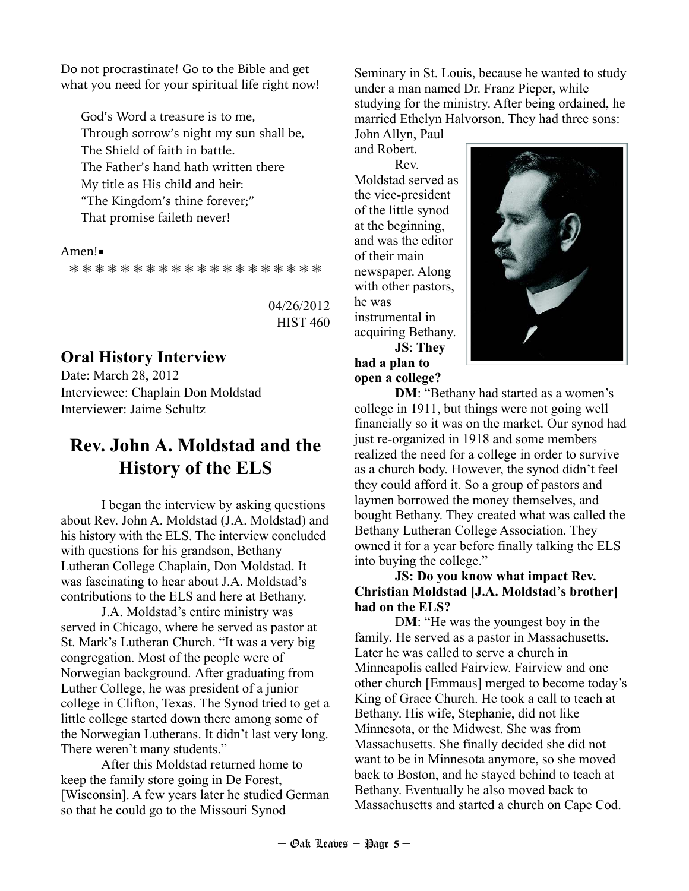Do not procrastinate! Go to the Bible and get what you need for your spiritual life right now!

God's Word a treasure is to me, Through sorrow's night my sun shall be, The Shield of faith in battle. The Father's hand hath written there My title as His child and heir: "The Kingdom's thine forever;" That promise faileth never!

#### Amen!

❅ ❅ ❅ ❅ ❅ ❅ ❅ ❅ ❅ ❅ ❅ ❅ ❅ ❅ ❅ ❅ ❅ ❅ ❅ ❅

04/26/2012 HIST 460

### **Oral History Interview**

Date: March 28, 2012 Interviewee: Chaplain Don Moldstad Interviewer: Jaime Schultz

### **Rev. John A. Moldstad and the History of the ELS**

 I began the interview by asking questions about Rev. John A. Moldstad (J.A. Moldstad) and his history with the ELS. The interview concluded with questions for his grandson, Bethany Lutheran College Chaplain, Don Moldstad. It was fascinating to hear about J.A. Moldstad's contributions to the ELS and here at Bethany.

 J.A. Moldstad's entire ministry was served in Chicago, where he served as pastor at St. Mark's Lutheran Church. "It was a very big congregation. Most of the people were of Norwegian background. After graduating from Luther College, he was president of a junior college in Clifton, Texas. The Synod tried to get a little college started down there among some of the Norwegian Lutherans. It didn't last very long. There weren't many students."

 After this Moldstad returned home to keep the family store going in De Forest, [Wisconsin]. A few years later he studied German so that he could go to the Missouri Synod

Seminary in St. Louis, because he wanted to study under a man named Dr. Franz Pieper, while studying for the ministry. After being ordained, he married Ethelyn Halvorson. They had three sons:

John Allyn, Paul and Robert. Rev.

Moldstad served as the vice-president of the little synod at the beginning, and was the editor of their main newspaper. Along with other pastors, he was instrumental in acquiring Bethany. **JS**: **They had a plan to open a college?** 



**DM**: "Bethany had started as a women's college in 1911, but things were not going well financially so it was on the market. Our synod had just re-organized in 1918 and some members realized the need for a college in order to survive as a church body. However, the synod didn't feel they could afford it. So a group of pastors and laymen borrowed the money themselves, and bought Bethany. They created what was called the Bethany Lutheran College Association. They owned it for a year before finally talking the ELS into buying the college."

#### **JS: Do you know what impact Rev. Christian Moldstad [J.A. Moldstad**'**s brother] had on the ELS?**

DM: "He was the youngest boy in the family. He served as a pastor in Massachusetts. Later he was called to serve a church in Minneapolis called Fairview. Fairview and one other church [Emmaus] merged to become today's King of Grace Church. He took a call to teach at Bethany. His wife, Stephanie, did not like Minnesota, or the Midwest. She was from Massachusetts. She finally decided she did not want to be in Minnesota anymore, so she moved back to Boston, and he stayed behind to teach at Bethany. Eventually he also moved back to Massachusetts and started a church on Cape Cod.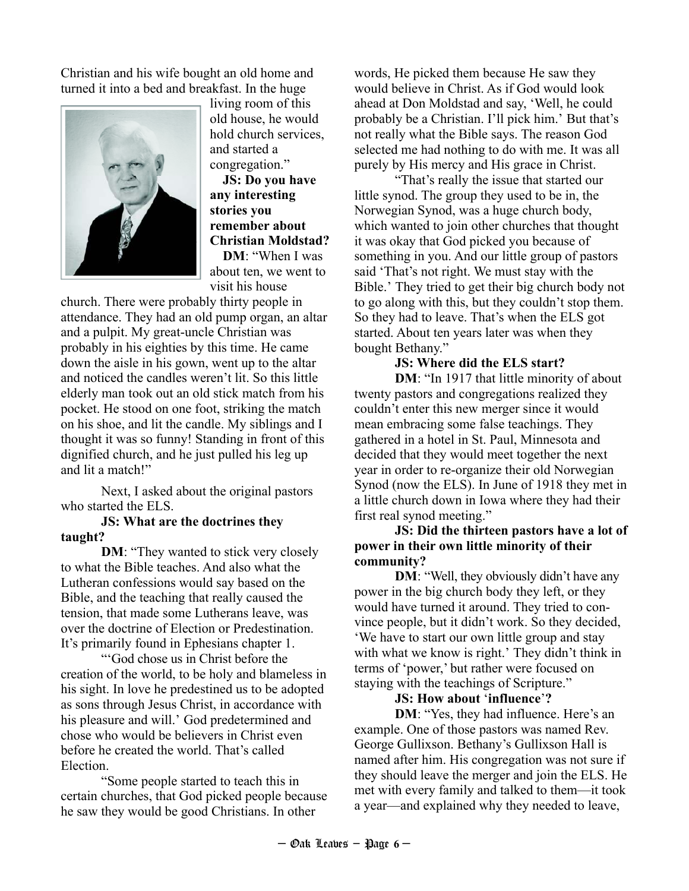Christian and his wife bought an old home and turned it into a bed and breakfast. In the huge



living room of this old house, he would hold church services, and started a congregation."

**JS: Do you have any interesting stories you remember about Christian Moldstad? DM**: "When I was

about ten, we went to visit his house

church. There were probably thirty people in attendance. They had an old pump organ, an altar and a pulpit. My great-uncle Christian was probably in his eighties by this time. He came down the aisle in his gown, went up to the altar and noticed the candles weren't lit. So this little elderly man took out an old stick match from his pocket. He stood on one foot, striking the match on his shoe, and lit the candle. My siblings and I thought it was so funny! Standing in front of this dignified church, and he just pulled his leg up and lit a match!"

 Next, I asked about the original pastors who started the ELS.

#### **JS: What are the doctrines they taught?**

**DM**: "They wanted to stick very closely to what the Bible teaches. And also what the Lutheran confessions would say based on the Bible, and the teaching that really caused the tension, that made some Lutherans leave, was over the doctrine of Election or Predestination. It's primarily found in Ephesians chapter 1.

"'God chose us in Christ before the creation of the world, to be holy and blameless in his sight. In love he predestined us to be adopted as sons through Jesus Christ, in accordance with his pleasure and will.' God predetermined and chose who would be believers in Christ even before he created the world. That's called Election.

 "Some people started to teach this in certain churches, that God picked people because he saw they would be good Christians. In other

words, He picked them because He saw they would believe in Christ. As if God would look ahead at Don Moldstad and say, 'Well, he could probably be a Christian. I'll pick him.' But that's not really what the Bible says. The reason God selected me had nothing to do with me. It was all purely by His mercy and His grace in Christ.

 "That's really the issue that started our little synod. The group they used to be in, the Norwegian Synod, was a huge church body, which wanted to join other churches that thought it was okay that God picked you because of something in you. And our little group of pastors said 'That's not right. We must stay with the Bible.' They tried to get their big church body not to go along with this, but they couldn't stop them. So they had to leave. That's when the ELS got started. About ten years later was when they bought Bethany."

#### **JS: Where did the ELS start?**

**DM**: "In 1917 that little minority of about twenty pastors and congregations realized they couldn't enter this new merger since it would mean embracing some false teachings. They gathered in a hotel in St. Paul, Minnesota and decided that they would meet together the next year in order to re-organize their old Norwegian Synod (now the ELS). In June of 1918 they met in a little church down in Iowa where they had their first real synod meeting."

#### **JS: Did the thirteen pastors have a lot of power in their own little minority of their community?**

**DM**: "Well, they obviously didn't have any power in the big church body they left, or they would have turned it around. They tried to convince people, but it didn't work. So they decided, 'We have to start our own little group and stay with what we know is right.' They didn't think in terms of 'power,' but rather were focused on staying with the teachings of Scripture."

#### **JS: How about** '**influence**'**?**

**DM**: "Yes, they had influence. Here's an example. One of those pastors was named Rev. George Gullixson. Bethany's Gullixson Hall is named after him. His congregation was not sure if they should leave the merger and join the ELS. He met with every family and talked to them—it took a year—and explained why they needed to leave,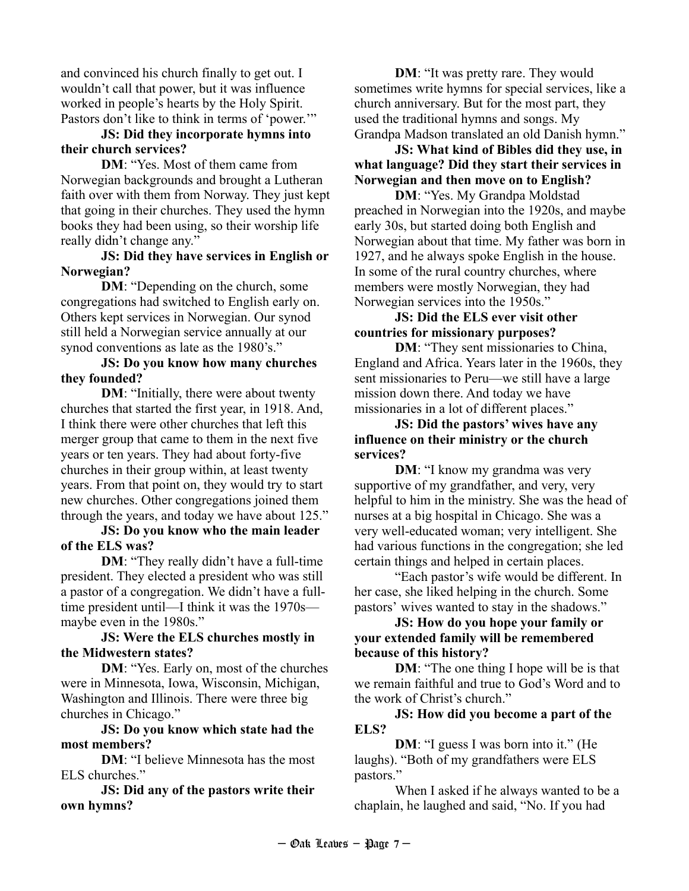and convinced his church finally to get out. I wouldn't call that power, but it was influence worked in people's hearts by the Holy Spirit. Pastors don't like to think in terms of 'power.'"

#### **JS: Did they incorporate hymns into their church services?**

**DM**: "Yes. Most of them came from Norwegian backgrounds and brought a Lutheran faith over with them from Norway. They just kept that going in their churches. They used the hymn books they had been using, so their worship life really didn't change any."

#### **JS: Did they have services in English or Norwegian?**

**DM**: "Depending on the church, some congregations had switched to English early on. Others kept services in Norwegian. Our synod still held a Norwegian service annually at our synod conventions as late as the 1980's."

#### **JS: Do you know how many churches they founded?**

**DM**: "Initially, there were about twenty churches that started the first year, in 1918. And, I think there were other churches that left this merger group that came to them in the next five years or ten years. They had about forty-five churches in their group within, at least twenty years. From that point on, they would try to start new churches. Other congregations joined them through the years, and today we have about 125."

#### **JS: Do you know who the main leader of the ELS was?**

**DM**: "They really didn't have a full-time president. They elected a president who was still a pastor of a congregation. We didn't have a fulltime president until—I think it was the 1970s maybe even in the 1980s."

#### **JS: Were the ELS churches mostly in the Midwestern states?**

**DM**: "Yes. Early on, most of the churches were in Minnesota, Iowa, Wisconsin, Michigan, Washington and Illinois. There were three big churches in Chicago."

#### **JS: Do you know which state had the most members?**

**DM**: "I believe Minnesota has the most ELS churches."

**JS: Did any of the pastors write their own hymns?** 

**DM**: "It was pretty rare. They would sometimes write hymns for special services, like a church anniversary. But for the most part, they used the traditional hymns and songs. My Grandpa Madson translated an old Danish hymn."

**JS: What kind of Bibles did they use, in what language? Did they start their services in Norwegian and then move on to English?** 

 **DM**: "Yes. My Grandpa Moldstad preached in Norwegian into the 1920s, and maybe early 30s, but started doing both English and Norwegian about that time. My father was born in 1927, and he always spoke English in the house. In some of the rural country churches, where members were mostly Norwegian, they had Norwegian services into the 1950s."

#### **JS: Did the ELS ever visit other countries for missionary purposes?**

**DM**: "They sent missionaries to China, England and Africa. Years later in the 1960s, they sent missionaries to Peru—we still have a large mission down there. And today we have missionaries in a lot of different places."

#### **JS: Did the pastors' wives have any influence on their ministry or the church services?**

**DM**: "I know my grandma was very supportive of my grandfather, and very, very helpful to him in the ministry. She was the head of nurses at a big hospital in Chicago. She was a very well-educated woman; very intelligent. She had various functions in the congregation; she led certain things and helped in certain places.

 "Each pastor's wife would be different. In her case, she liked helping in the church. Some pastors' wives wanted to stay in the shadows."

#### **JS: How do you hope your family or your extended family will be remembered because of this history?**

**DM**: "The one thing I hope will be is that we remain faithful and true to God's Word and to the work of Christ's church."

#### **JS: How did you become a part of the ELS?**

**DM**: "I guess I was born into it." (He laughs). "Both of my grandfathers were ELS pastors."

 When I asked if he always wanted to be a chaplain, he laughed and said, "No. If you had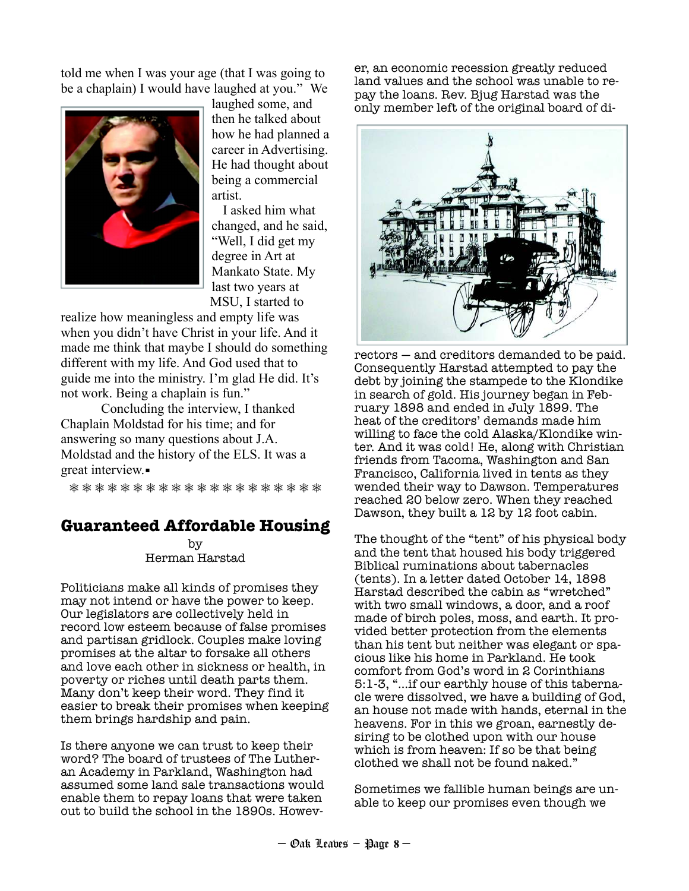told me when I was your age (that I was going to be a chaplain) I would have laughed at you." We



laughed some, and then he talked about how he had planned a career in Advertising. He had thought about being a commercial artist.

 I asked him what changed, and he said, "Well, I did get my degree in Art at Mankato State. My last two years at MSU, I started to

realize how meaningless and empty life was when you didn't have Christ in your life. And it made me think that maybe I should do something different with my life. And God used that to guide me into the ministry. I'm glad He did. It's not work. Being a chaplain is fun."

 Concluding the interview, I thanked Chaplain Moldstad for his time; and for answering so many questions about J.A. Moldstad and the history of the ELS. It was a great interview.

❅ ❅ ❅ ❅ ❅ ❅ ❅ ❅ ❅ ❅ ❅ ❅ ❅ ❅ ❅ ❅ ❅ ❅ ❅ ❅

#### **Guaranteed Affordable Housing**

by Herman Harstad

Politicians make all kinds of promises they may not intend or have the power to keep. Our legislators are collectively held in record low esteem because of false promises and partisan gridlock. Couples make loving promises at the altar to forsake all others and love each other in sickness or health, in poverty or riches until death parts them. Many don't keep their word. They find it easier to break their promises when keeping them brings hardship and pain.

Is there anyone we can trust to keep their word? The board of trustees of The Lutheran Academy in Parkland, Washington had assumed some land sale transactions would enable them to repay loans that were taken out to build the school in the 1890s. However, an economic recession greatly reduced land values and the school was unable to repay the loans. Rev. Bjug Harstad was the only member left of the original board of di-



rectors — and creditors demanded to be paid. Consequently Harstad attempted to pay the debt by joining the stampede to the Klondike in search of gold. His journey began in February 1898 and ended in July 1899. The heat of the creditors' demands made him willing to face the cold Alaska/Klondike winter. And it was cold! He, along with Christian friends from Tacoma, Washington and San Francisco, California lived in tents as they wended their way to Dawson. Temperatures reached 20 below zero. When they reached Dawson, they built a 12 by 12 foot cabin.

The thought of the "tent" of his physical body and the tent that housed his body triggered Biblical ruminations about tabernacles (tents). In a letter dated October 14, 1898 Harstad described the cabin as "wretched" with two small windows, a door, and a roof made of birch poles, moss, and earth. It provided better protection from the elements than his tent but neither was elegant or spacious like his home in Parkland. He took comfort from God's word in 2 Corinthians 5:1-3, "…if our earthly house of this tabernacle were dissolved, we have a building of God, an house not made with hands, eternal in the heavens. For in this we groan, earnestly desiring to be clothed upon with our house which is from heaven: If so be that being clothed we shall not be found naked."

Sometimes we fallible human beings are unable to keep our promises even though we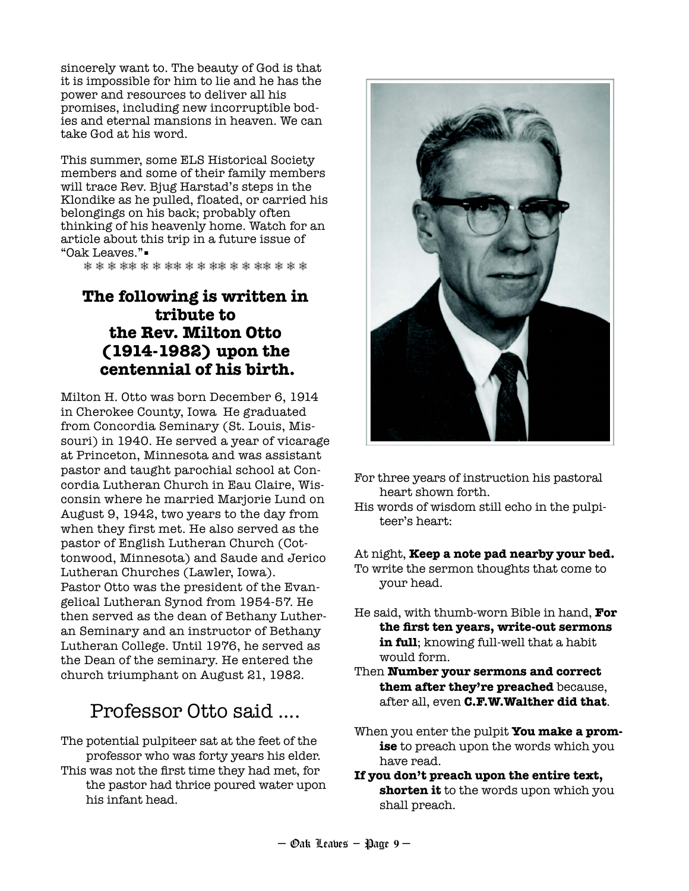sincerely want to. The beauty of God is that it is impossible for him to lie and he has the power and resources to deliver all his promises, including new incorruptible bodies and eternal mansions in heaven. We can take God at his word.

This summer, some ELS Historical Society members and some of their family members will trace Rev. Bjug Harstad's steps in the Klondike as he pulled, floated, or carried his belongings on his back; probably often thinking of his heavenly home. Watch for an article about this trip in a future issue of "Oak Leaves."▪

❅ ❅ ❅ ❅❅ ❅ ❅ ❅❅ ❅ ❅ ❅❅ ❅ ❅ ❅❅ ❅ ❅ ❅

### **The following is written in tribute to the Rev. Milton Otto (1914-1982) upon the centennial of his birth.**

Milton H. Otto was born December 6, 1914 in Cherokee County, Iowa He graduated from Concordia Seminary (St. Louis, Missouri) in 1940. He served a year of vicarage at Princeton, Minnesota and was assistant pastor and taught parochial school at Concordia Lutheran Church in Eau Claire, Wisconsin where he married Marjorie Lund on August 9, 1942, two years to the day from when they first met. He also served as the pastor of English Lutheran Church (Cottonwood, Minnesota) and Saude and Jerico Lutheran Churches (Lawler, Iowa). Pastor Otto was the president of the Evangelical Lutheran Synod from 1954-57. He then served as the dean of Bethany Lutheran Seminary and an instructor of Bethany Lutheran College. Until 1976, he served as the Dean of the seminary. He entered the church triumphant on August 21, 1982.

# Professor Otto said ....

The potential pulpiteer sat at the feet of the professor who was forty years his elder. This was not the first time they had met, for the pastor had thrice poured water upon his infant head.



- For three years of instruction his pastoral heart shown forth.
- His words of wisdom still echo in the pulpiteer's heart:

#### At night, **Keep a note pad nearby your bed.**

- To write the sermon thoughts that come to your head.
- He said, with thumb-worn Bible in hand, **For the first ten years, write-out sermons in full**; knowing full-well that a habit would form.
- Then **Number your sermons and correct them after they're preached** because, after all, even **C.F.W.Walther did that**.
- When you enter the pulpit **You make a promise** to preach upon the words which you have read.
- **If you don't preach upon the entire text, shorten it** to the words upon which you shall preach.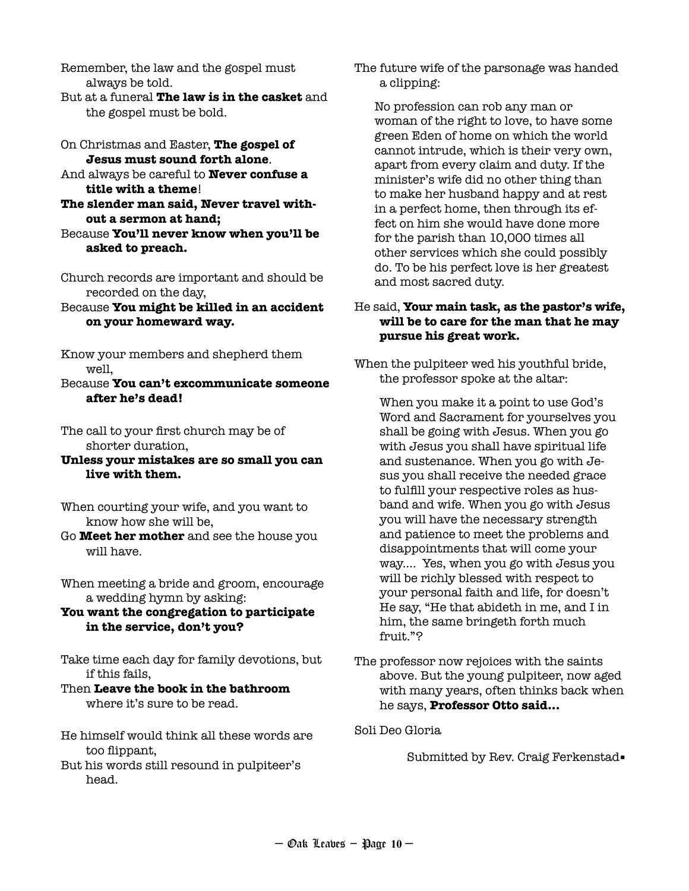Remember, the law and the gospel must always be told.

- But at a funeral **The law is in the casket** and the gospel must be bold.
- On Christmas and Easter, **The gospel of Jesus must sound forth alone**.
- And always be careful to **Never confuse a title with a theme**!
- **The slender man said, Never travel without a sermon at hand;**
- Because **You'll never know when you'll be asked to preach.**
- Church records are important and should be recorded on the day,
- Because **You might be killed in an accident on your homeward way.**
- Know your members and shepherd them well,
- Because **You can't excommunicate someone after he's dead!**

The call to your first church may be of shorter duration,

- **Unless your mistakes are so small you can live with them.**
- When courting your wife, and you want to know how she will be,
- Go **Meet her mother** and see the house you will have.
- When meeting a bride and groom, encourage a wedding hymn by asking:
- **You want the congregation to participate in the service, don't you?**
- Take time each day for family devotions, but if this fails,
- Then **Leave the book in the bathroom** where it's sure to be read.
- He himself would think all these words are too flippant,
- But his words still resound in pulpiteer's head.

The future wife of the parsonage was handed a clipping:

No profession can rob any man or woman of the right to love, to have some green Eden of home on which the world cannot intrude, which is their very own, apart from every claim and duty. If the minister's wife did no other thing than to make her husband happy and at rest in a perfect home, then through its effect on him she would have done more for the parish than 10,000 times all other services which she could possibly do. To be his perfect love is her greatest and most sacred duty.

#### He said, **Your main task, as the pastor's wife, will be to care for the man that he may pursue his great work.**

When the pulpiteer wed his youthful bride, the professor spoke at the altar:

When you make it a point to use God's Word and Sacrament for yourselves you shall be going with Jesus. When you go with Jesus you shall have spiritual life and sustenance. When you go with Jesus you shall receive the needed grace to fulfill your respective roles as husband and wife. When you go with Jesus you will have the necessary strength and patience to meet the problems and disappointments that will come your way.... Yes, when you go with Jesus you will be richly blessed with respect to your personal faith and life, for doesn't He say, "He that abideth in me, and I in him, the same bringeth forth much fruit."?

The professor now rejoices with the saints above. But the young pulpiteer, now aged with many years, often thinks back when he says, **Professor Otto said...** 

Soli Deo Gloria

Submitted by Rev. Craig Ferkenstad.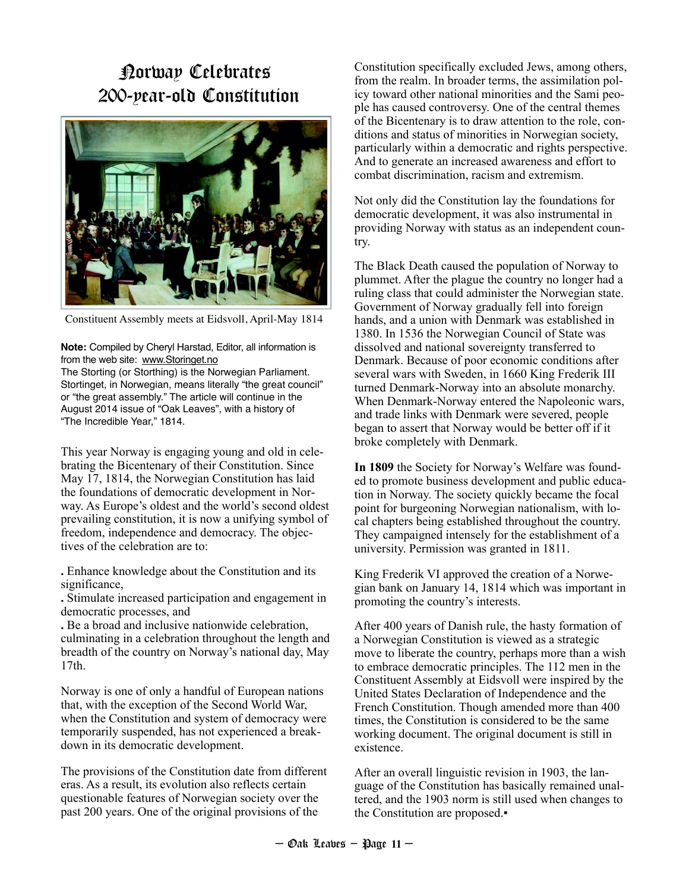# Norway Celebrates 200-year-old Constitution



Constituent Assembly meets at Eidsvoll, April-May 1814

**Note:** Compiled by Cheryl Harstad, Editor, all information is from the web site: www.Storinget.no

The Storting (or Storthing) is the Norwegian Parliament. Stortinget, in Norwegian, means literally "the great council" or "the great assembly." The article will continue in the August 2014 issue of "Oak Leaves", with a history of "The Incredible Year," 1814.

This year Norway is engaging young and old in celebrating the Bicentenary of their Constitution. Since May 17, 1814, the Norwegian Constitution has laid the foundations of democratic development in Norway. As Europe's oldest and the world's second oldest prevailing constitution, it is now a unifying symbol of freedom, independence and democracy. The objectives of the celebration are to:

**.** Enhance knowledge about the Constitution and its significance,

**.** Stimulate increased participation and engagement in democratic processes, and

**.** Be a broad and inclusive nationwide celebration, culminating in a celebration throughout the length and breadth of the country on Norway's national day, May 17th.

Norway is one of only a handful of European nations that, with the exception of the Second World War, when the Constitution and system of democracy were temporarily suspended, has not experienced a breakdown in its democratic development.

The provisions of the Constitution date from different eras. As a result, its evolution also reflects certain questionable features of Norwegian society over the past 200 years. One of the original provisions of the

Constitution specifically excluded Jews, among others, from the realm. In broader terms, the assimilation policy toward other national minorities and the Sami people has caused controversy. One of the central themes of the Bicentenary is to draw attention to the role, conditions and status of minorities in Norwegian society, particularly within a democratic and rights perspective. And to generate an increased awareness and effort to combat discrimination, racism and extremism.

Not only did the Constitution lay the foundations for democratic development, it was also instrumental in providing Norway with status as an independent country.

The Black Death caused the population of Norway to plummet. After the plague the country no longer had a ruling class that could administer the Norwegian state. Government of Norway gradually fell into foreign hands, and a union with Denmark was established in 1380. In 1536 the Norwegian Council of State was dissolved and national sovereignty transferred to Denmark. Because of poor economic conditions after several wars with Sweden, in 1660 King Frederik III turned Denmark-Norway into an absolute monarchy. When Denmark-Norway entered the Napoleonic wars, and trade links with Denmark were severed, people began to assert that Norway would be better off if it broke completely with Denmark.

**In 1809** the Society for Norway's Welfare was founded to promote business development and public education in Norway. The society quickly became the focal point for burgeoning Norwegian nationalism, with local chapters being established throughout the country. They campaigned intensely for the establishment of a university. Permission was granted in 1811.

King Frederik VI approved the creation of a Norwegian bank on January 14, 1814 which was important in promoting the country's interests.

After 400 years of Danish rule, the hasty formation of a Norwegian Constitution is viewed as a strategic move to liberate the country, perhaps more than a wish to embrace democratic principles. The 112 men in the Constituent Assembly at Eidsvoll were inspired by the United States Declaration of Independence and the French Constitution. Though amended more than 400 times, the Constitution is considered to be the same working document. The original document is still in existence.

After an overall linguistic revision in 1903, the language of the Constitution has basically remained unaltered, and the 1903 norm is still used when changes to the Constitution are proposed.▪